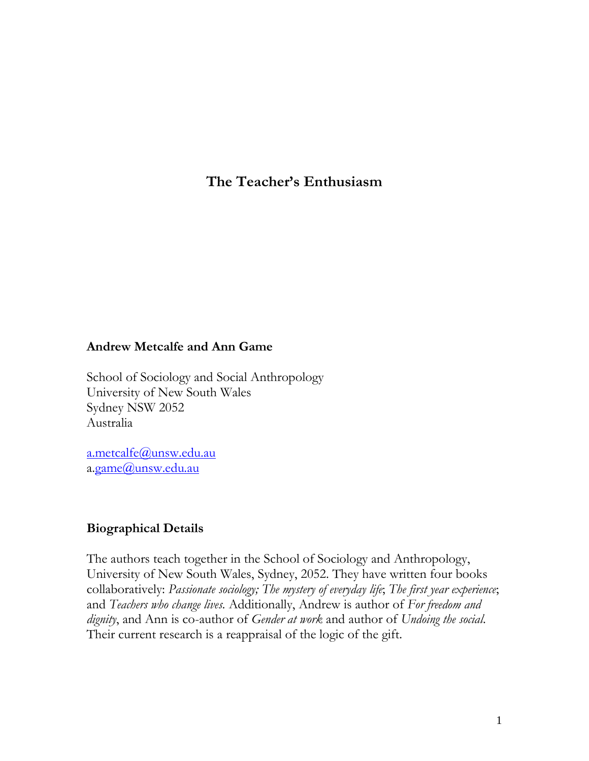# **The Teacher's Enthusiasm**

# **Andrew Metcalfe and Ann Game**

School of Sociology and Social Anthropology University of New South Wales Sydney NSW 2052 Australia

[a.metcalfe@unsw.edu.au](mailto:a.metcalfe@unsw.edu.au) a[.game@unsw.edu.au](mailto:a.game@unsw.edu.au)

# **Biographical Details**

The authors teach together in the School of Sociology and Anthropology, University of New South Wales, Sydney, 2052. They have written four books collaboratively: *Passionate sociology; The mystery of everyday life*; *The first year experience*; and *Teachers who change lives.* Additionally, Andrew is author of *For freedom and dignity*, and Ann is co-author of *Gender at work* and author of *Undoing the social*. Their current research is a reappraisal of the logic of the gift.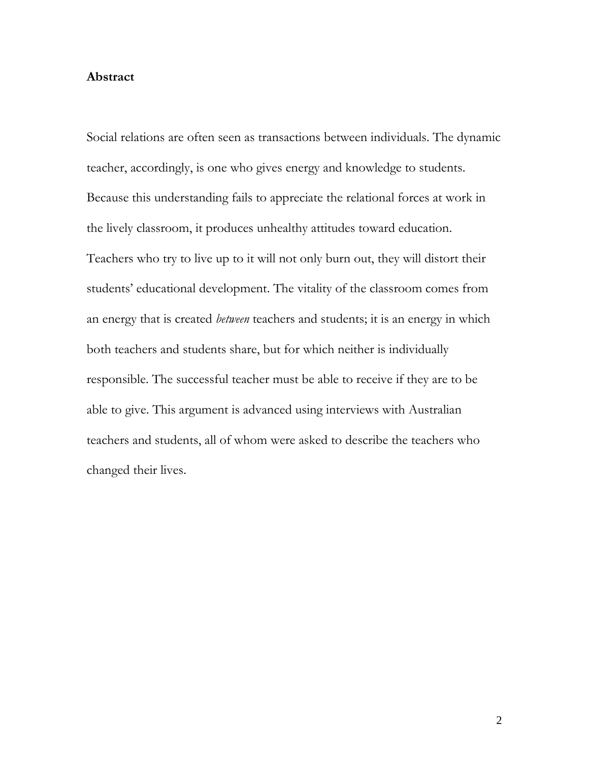#### **Abstract**

Social relations are often seen as transactions between individuals. The dynamic teacher, accordingly, is one who gives energy and knowledge to students. Because this understanding fails to appreciate the relational forces at work in the lively classroom, it produces unhealthy attitudes toward education. Teachers who try to live up to it will not only burn out, they will distort their students' educational development. The vitality of the classroom comes from an energy that is created *between* teachers and students; it is an energy in which both teachers and students share, but for which neither is individually responsible. The successful teacher must be able to receive if they are to be able to give. This argument is advanced using interviews with Australian teachers and students, all of whom were asked to describe the teachers who changed their lives.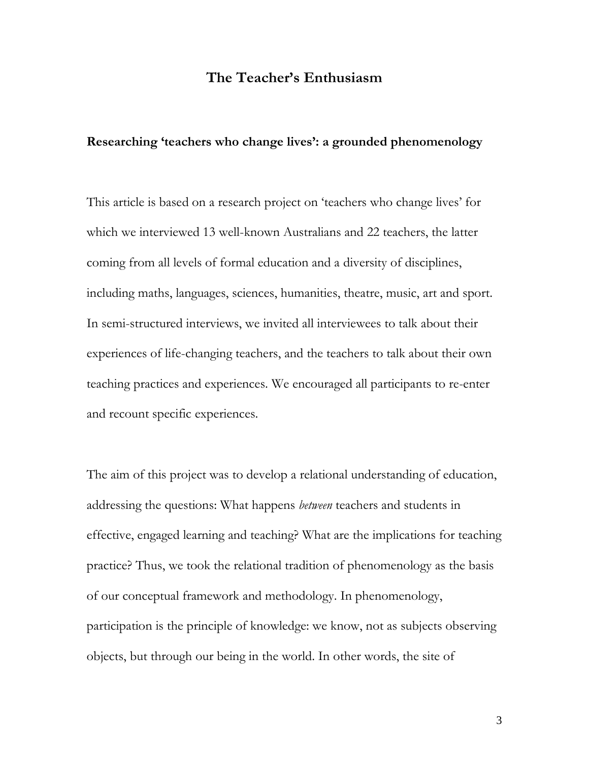# **The Teacher's Enthusiasm**

# **Researching 'teachers who change lives': a grounded phenomenology**

This article is based on a research project on 'teachers who change lives' for which we interviewed 13 well-known Australians and 22 teachers, the latter coming from all levels of formal education and a diversity of disciplines, including maths, languages, sciences, humanities, theatre, music, art and sport. In semi-structured interviews, we invited all interviewees to talk about their experiences of life-changing teachers, and the teachers to talk about their own teaching practices and experiences. We encouraged all participants to re-enter and recount specific experiences.

The aim of this project was to develop a relational understanding of education, addressing the questions: What happens *between* teachers and students in effective, engaged learning and teaching? What are the implications for teaching practice? Thus, we took the relational tradition of phenomenology as the basis of our conceptual framework and methodology. In phenomenology, participation is the principle of knowledge: we know, not as subjects observing objects, but through our being in the world. In other words, the site of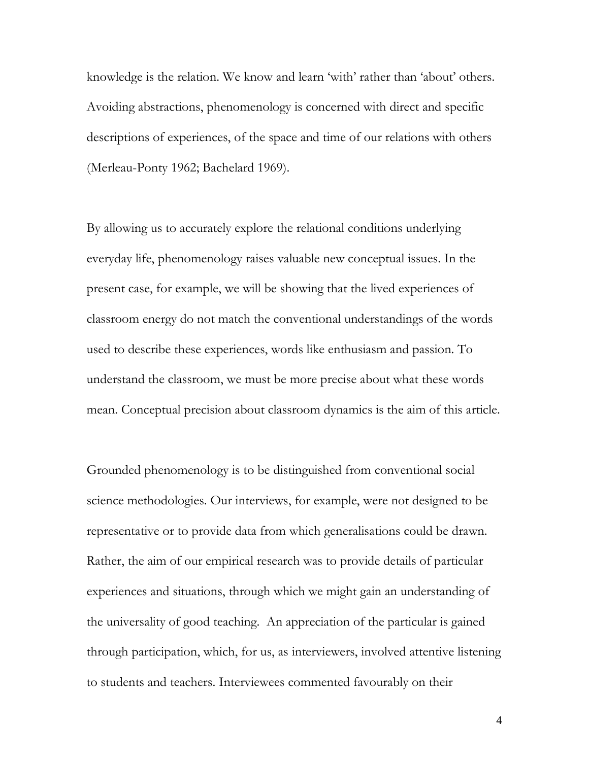knowledge is the relation. We know and learn 'with' rather than 'about' others. Avoiding abstractions, phenomenology is concerned with direct and specific descriptions of experiences, of the space and time of our relations with others (Merleau-Ponty 1962; Bachelard 1969).

By allowing us to accurately explore the relational conditions underlying everyday life, phenomenology raises valuable new conceptual issues. In the present case, for example, we will be showing that the lived experiences of classroom energy do not match the conventional understandings of the words used to describe these experiences, words like enthusiasm and passion. To understand the classroom, we must be more precise about what these words mean. Conceptual precision about classroom dynamics is the aim of this article.

Grounded phenomenology is to be distinguished from conventional social science methodologies. Our interviews, for example, were not designed to be representative or to provide data from which generalisations could be drawn. Rather, the aim of our empirical research was to provide details of particular experiences and situations, through which we might gain an understanding of the universality of good teaching. An appreciation of the particular is gained through participation, which, for us, as interviewers, involved attentive listening to students and teachers. Interviewees commented favourably on their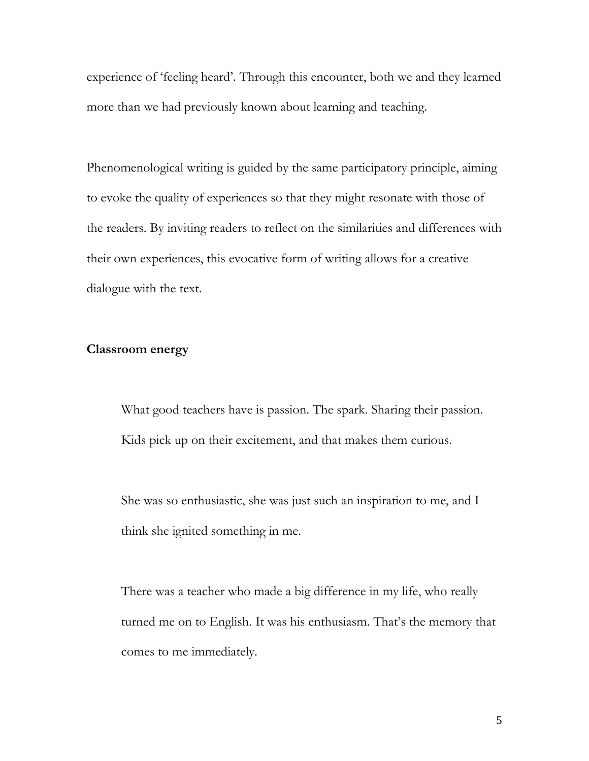experience of 'feeling heard'. Through this encounter, both we and they learned more than we had previously known about learning and teaching.

Phenomenological writing is guided by the same participatory principle, aiming to evoke the quality of experiences so that they might resonate with those of the readers. By inviting readers to reflect on the similarities and differences with their own experiences, this evocative form of writing allows for a creative dialogue with the text.

### **Classroom energy**

What good teachers have is passion. The spark. Sharing their passion. Kids pick up on their excitement, and that makes them curious.

She was so enthusiastic, she was just such an inspiration to me, and I think she ignited something in me.

There was a teacher who made a big difference in my life, who really turned me on to English. It was his enthusiasm. That's the memory that comes to me immediately.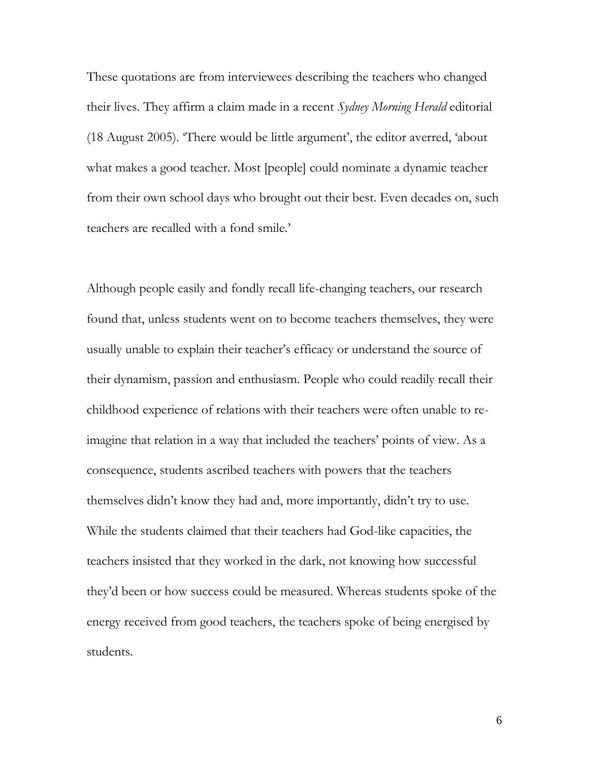These quotations are from interviewees describing the teachers who changed their lives. They affirm a claim made in a recent *Sydney Morning Herald* editorial (18 August 2005). 'There would be little argument', the editor averred, 'about what makes a good teacher. Most [people] could nominate a dynamic teacher from their own school days who brought out their best. Even decades on, such teachers are recalled with a fond smile.'

Although people easily and fondly recall life-changing teachers, our research found that, unless students went on to become teachers themselves, they were usually unable to explain their teacher's efficacy or understand the source of their dynamism, passion and enthusiasm. People who could readily recall their childhood experience of relations with their teachers were often unable to reimagine that relation in a way that included the teachers' points of view. As a consequence, students ascribed teachers with powers that the teachers themselves didn't know they had and, more importantly, didn't try to use. While the students claimed that their teachers had God-like capacities, the teachers insisted that they worked in the dark, not knowing how successful they'd been or how success could be measured. Whereas students spoke of the energy received from good teachers, the teachers spoke of being energised by students.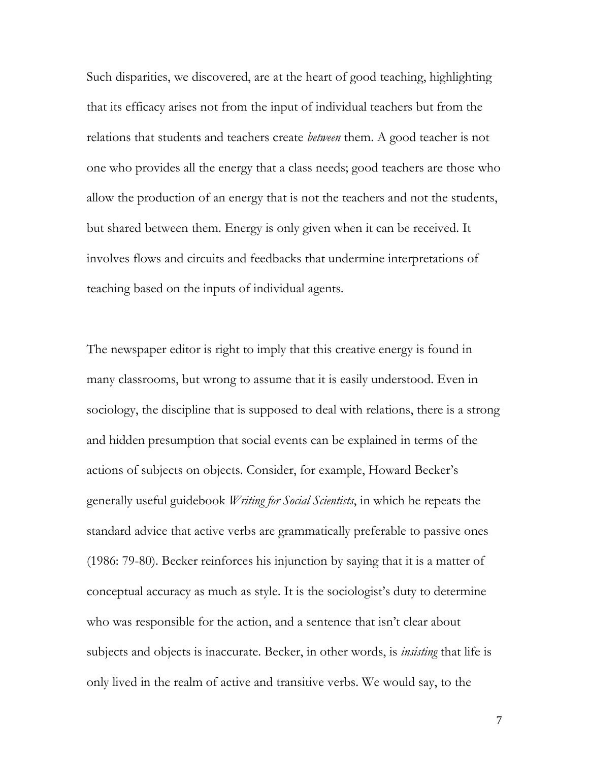Such disparities, we discovered, are at the heart of good teaching, highlighting that its efficacy arises not from the input of individual teachers but from the relations that students and teachers create *between* them. A good teacher is not one who provides all the energy that a class needs; good teachers are those who allow the production of an energy that is not the teachers and not the students, but shared between them. Energy is only given when it can be received. It involves flows and circuits and feedbacks that undermine interpretations of teaching based on the inputs of individual agents.

The newspaper editor is right to imply that this creative energy is found in many classrooms, but wrong to assume that it is easily understood. Even in sociology, the discipline that is supposed to deal with relations, there is a strong and hidden presumption that social events can be explained in terms of the actions of subjects on objects. Consider, for example, Howard Becker's generally useful guidebook *Writing for Social Scientists*, in which he repeats the standard advice that active verbs are grammatically preferable to passive ones (1986: 79-80). Becker reinforces his injunction by saying that it is a matter of conceptual accuracy as much as style. It is the sociologist's duty to determine who was responsible for the action, and a sentence that isn't clear about subjects and objects is inaccurate. Becker, in other words, is *insisting* that life is only lived in the realm of active and transitive verbs. We would say, to the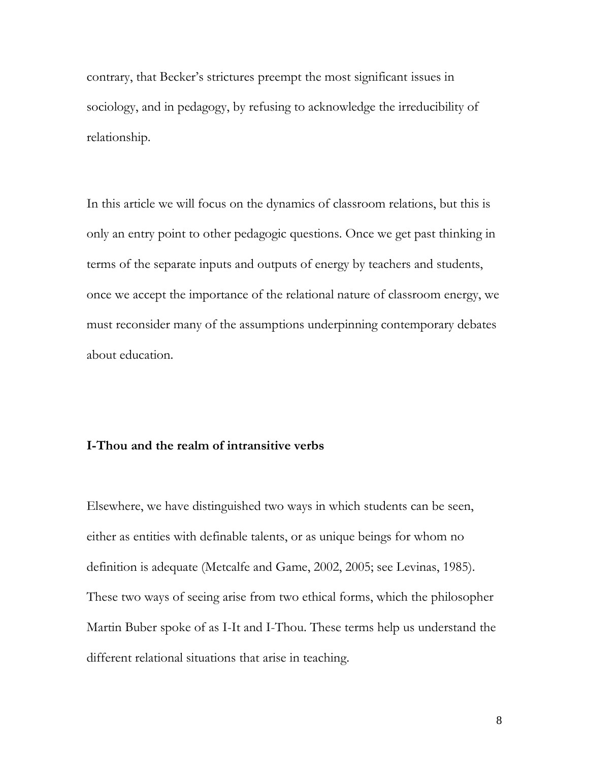contrary, that Becker's strictures preempt the most significant issues in sociology, and in pedagogy, by refusing to acknowledge the irreducibility of relationship.

In this article we will focus on the dynamics of classroom relations, but this is only an entry point to other pedagogic questions. Once we get past thinking in terms of the separate inputs and outputs of energy by teachers and students, once we accept the importance of the relational nature of classroom energy, we must reconsider many of the assumptions underpinning contemporary debates about education.

### **I-Thou and the realm of intransitive verbs**

Elsewhere, we have distinguished two ways in which students can be seen, either as entities with definable talents, or as unique beings for whom no definition is adequate (Metcalfe and Game, 2002, 2005; see Levinas, 1985). These two ways of seeing arise from two ethical forms, which the philosopher Martin Buber spoke of as I-It and I-Thou. These terms help us understand the different relational situations that arise in teaching.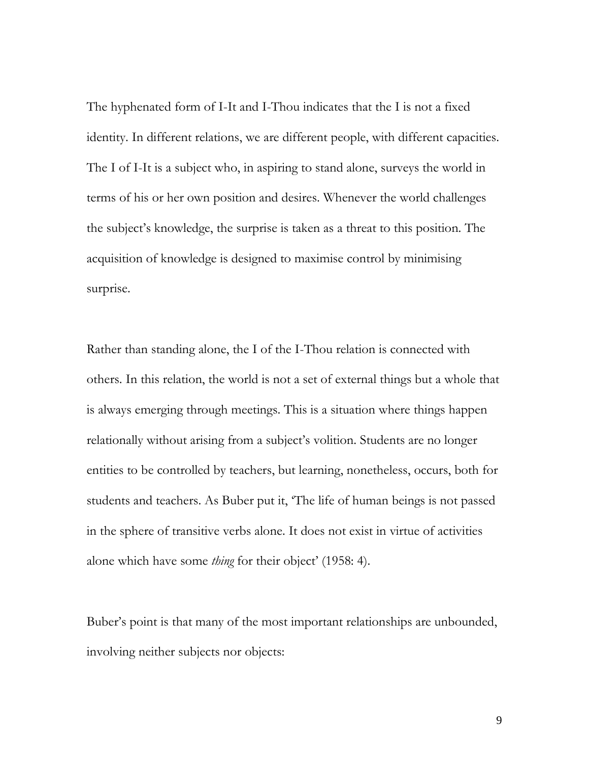The hyphenated form of I-It and I-Thou indicates that the I is not a fixed identity. In different relations, we are different people, with different capacities. The I of I-It is a subject who, in aspiring to stand alone, surveys the world in terms of his or her own position and desires. Whenever the world challenges the subject's knowledge, the surprise is taken as a threat to this position. The acquisition of knowledge is designed to maximise control by minimising surprise.

Rather than standing alone, the I of the I-Thou relation is connected with others. In this relation, the world is not a set of external things but a whole that is always emerging through meetings. This is a situation where things happen relationally without arising from a subject's volition. Students are no longer entities to be controlled by teachers, but learning, nonetheless, occurs, both for students and teachers. As Buber put it, 'The life of human beings is not passed in the sphere of transitive verbs alone. It does not exist in virtue of activities alone which have some *thing* for their object' (1958: 4).

Buber's point is that many of the most important relationships are unbounded, involving neither subjects nor objects: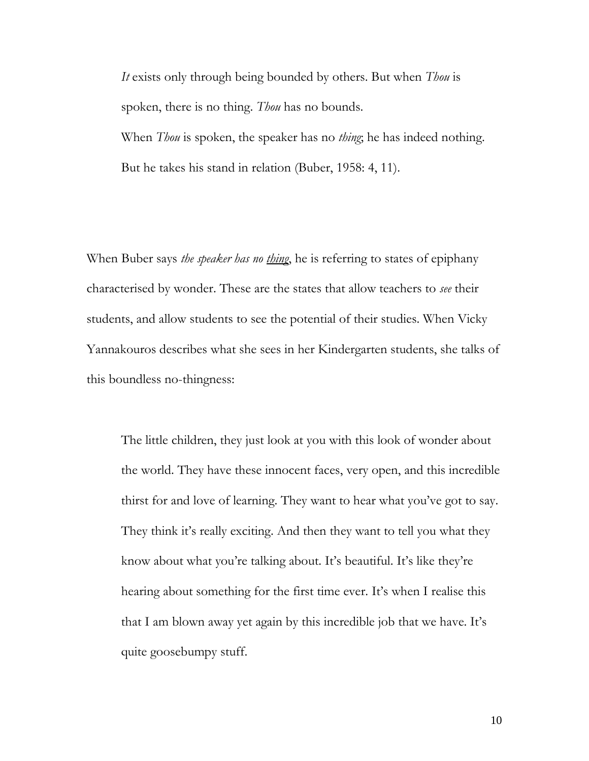*It* exists only through being bounded by others. But when *Thou* is spoken, there is no thing. *Thou* has no bounds. When *Thou* is spoken, the speaker has no *thing*; he has indeed nothing. But he takes his stand in relation (Buber, 1958: 4, 11).

When Buber says *the speaker has no thing*, he is referring to states of epiphany characterised by wonder. These are the states that allow teachers to *see* their students, and allow students to see the potential of their studies. When Vicky Yannakouros describes what she sees in her Kindergarten students, she talks of this boundless no-thingness:

The little children, they just look at you with this look of wonder about the world. They have these innocent faces, very open, and this incredible thirst for and love of learning. They want to hear what you've got to say. They think it's really exciting. And then they want to tell you what they know about what you're talking about. It's beautiful. It's like they're hearing about something for the first time ever. It's when I realise this that I am blown away yet again by this incredible job that we have. It's quite goosebumpy stuff.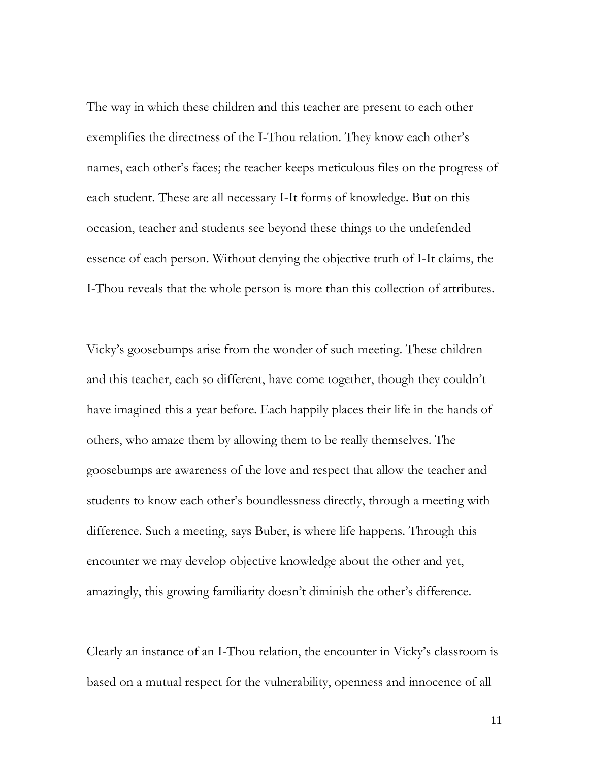The way in which these children and this teacher are present to each other exemplifies the directness of the I-Thou relation. They know each other's names, each other's faces; the teacher keeps meticulous files on the progress of each student. These are all necessary I-It forms of knowledge. But on this occasion, teacher and students see beyond these things to the undefended essence of each person. Without denying the objective truth of I-It claims, the I-Thou reveals that the whole person is more than this collection of attributes.

Vicky's goosebumps arise from the wonder of such meeting. These children and this teacher, each so different, have come together, though they couldn't have imagined this a year before. Each happily places their life in the hands of others, who amaze them by allowing them to be really themselves. The goosebumps are awareness of the love and respect that allow the teacher and students to know each other's boundlessness directly, through a meeting with difference. Such a meeting, says Buber, is where life happens. Through this encounter we may develop objective knowledge about the other and yet, amazingly, this growing familiarity doesn't diminish the other's difference.

Clearly an instance of an I-Thou relation, the encounter in Vicky's classroom is based on a mutual respect for the vulnerability, openness and innocence of all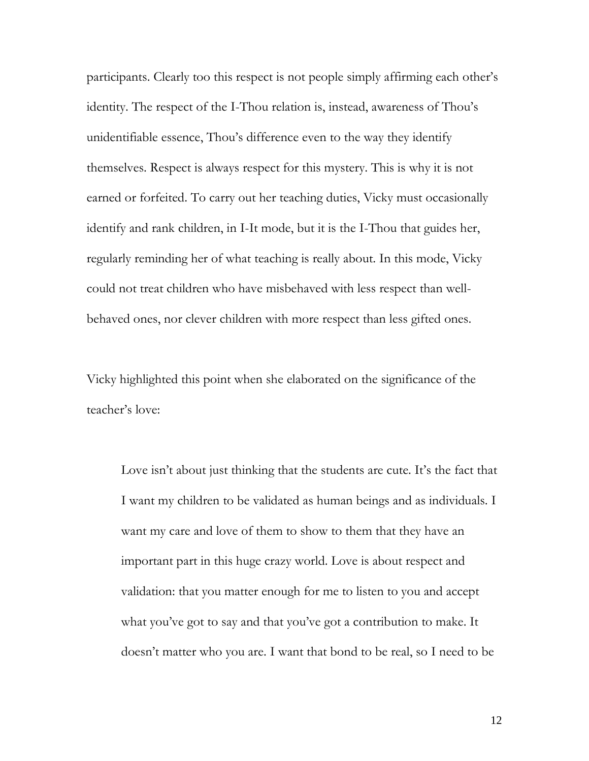participants. Clearly too this respect is not people simply affirming each other's identity. The respect of the I-Thou relation is, instead, awareness of Thou's unidentifiable essence, Thou's difference even to the way they identify themselves. Respect is always respect for this mystery. This is why it is not earned or forfeited. To carry out her teaching duties, Vicky must occasionally identify and rank children, in I-It mode, but it is the I-Thou that guides her, regularly reminding her of what teaching is really about. In this mode, Vicky could not treat children who have misbehaved with less respect than wellbehaved ones, nor clever children with more respect than less gifted ones.

Vicky highlighted this point when she elaborated on the significance of the teacher's love:

Love isn't about just thinking that the students are cute. It's the fact that I want my children to be validated as human beings and as individuals. I want my care and love of them to show to them that they have an important part in this huge crazy world. Love is about respect and validation: that you matter enough for me to listen to you and accept what you've got to say and that you've got a contribution to make. It doesn't matter who you are. I want that bond to be real, so I need to be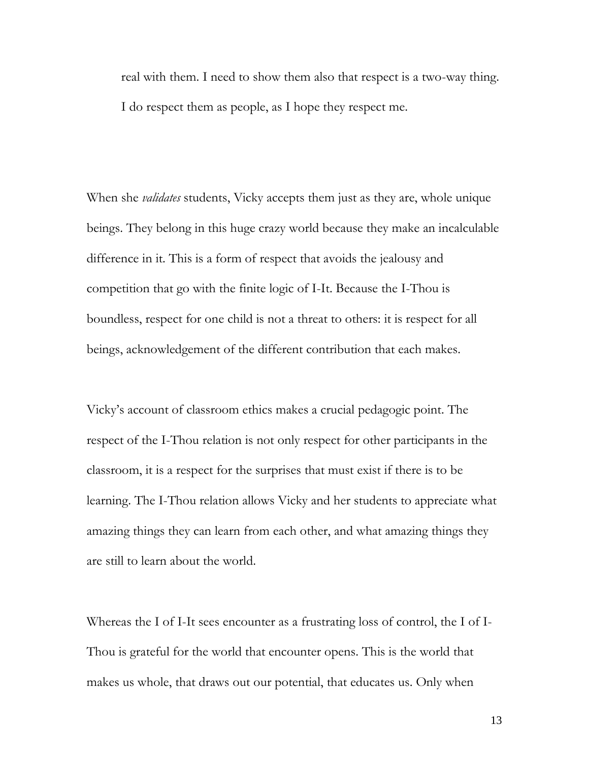real with them. I need to show them also that respect is a two-way thing. I do respect them as people, as I hope they respect me.

When she *validates* students, Vicky accepts them just as they are, whole unique beings. They belong in this huge crazy world because they make an incalculable difference in it. This is a form of respect that avoids the jealousy and competition that go with the finite logic of I-It. Because the I-Thou is boundless, respect for one child is not a threat to others: it is respect for all beings, acknowledgement of the different contribution that each makes.

Vicky's account of classroom ethics makes a crucial pedagogic point. The respect of the I-Thou relation is not only respect for other participants in the classroom, it is a respect for the surprises that must exist if there is to be learning. The I-Thou relation allows Vicky and her students to appreciate what amazing things they can learn from each other, and what amazing things they are still to learn about the world.

Whereas the I of I-It sees encounter as a frustrating loss of control, the I of I-Thou is grateful for the world that encounter opens. This is the world that makes us whole, that draws out our potential, that educates us. Only when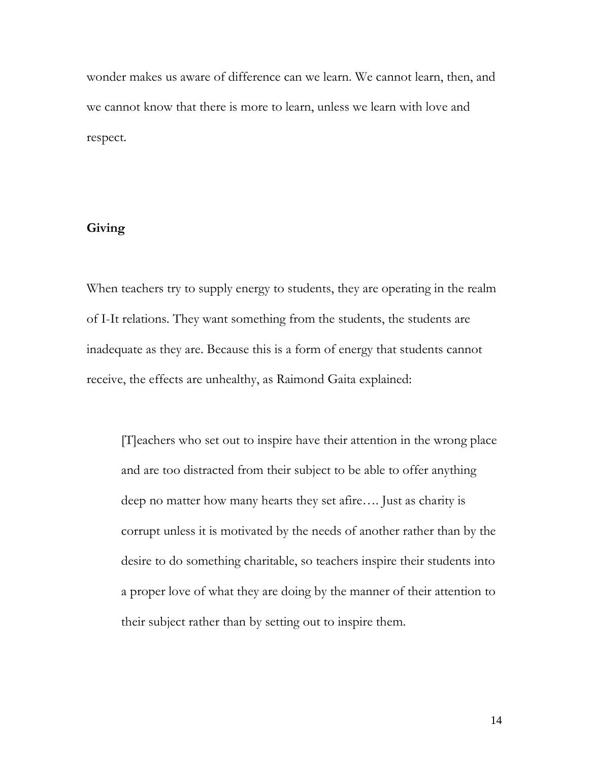wonder makes us aware of difference can we learn. We cannot learn, then, and we cannot know that there is more to learn, unless we learn with love and respect.

# **Giving**

When teachers try to supply energy to students, they are operating in the realm of I-It relations. They want something from the students, the students are inadequate as they are. Because this is a form of energy that students cannot receive, the effects are unhealthy, as Raimond Gaita explained:

[T]eachers who set out to inspire have their attention in the wrong place and are too distracted from their subject to be able to offer anything deep no matter how many hearts they set afire…. Just as charity is corrupt unless it is motivated by the needs of another rather than by the desire to do something charitable, so teachers inspire their students into a proper love of what they are doing by the manner of their attention to their subject rather than by setting out to inspire them.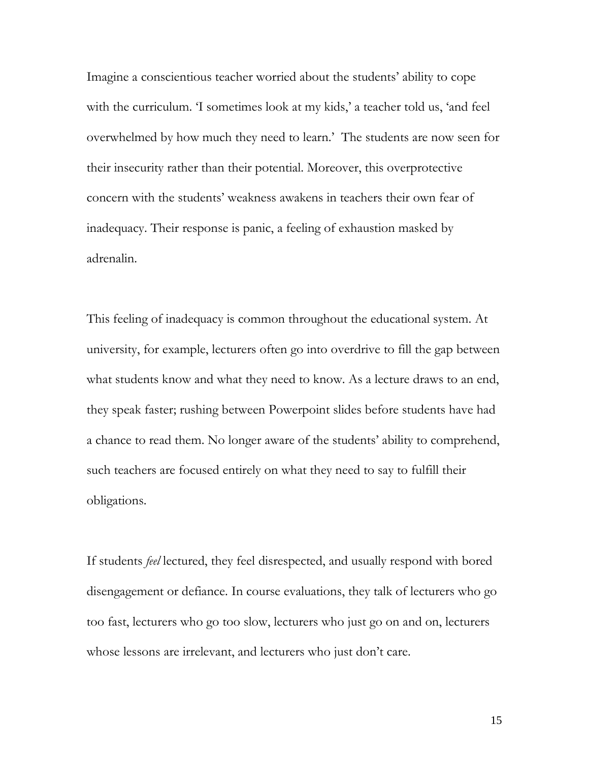Imagine a conscientious teacher worried about the students' ability to cope with the curriculum. T sometimes look at my kids,' a teacher told us, 'and feel overwhelmed by how much they need to learn.' The students are now seen for their insecurity rather than their potential. Moreover, this overprotective concern with the students' weakness awakens in teachers their own fear of inadequacy. Their response is panic, a feeling of exhaustion masked by adrenalin.

This feeling of inadequacy is common throughout the educational system. At university, for example, lecturers often go into overdrive to fill the gap between what students know and what they need to know. As a lecture draws to an end, they speak faster; rushing between Powerpoint slides before students have had a chance to read them. No longer aware of the students' ability to comprehend, such teachers are focused entirely on what they need to say to fulfill their obligations.

If students *feel* lectured, they feel disrespected, and usually respond with bored disengagement or defiance. In course evaluations, they talk of lecturers who go too fast, lecturers who go too slow, lecturers who just go on and on, lecturers whose lessons are irrelevant, and lecturers who just don't care.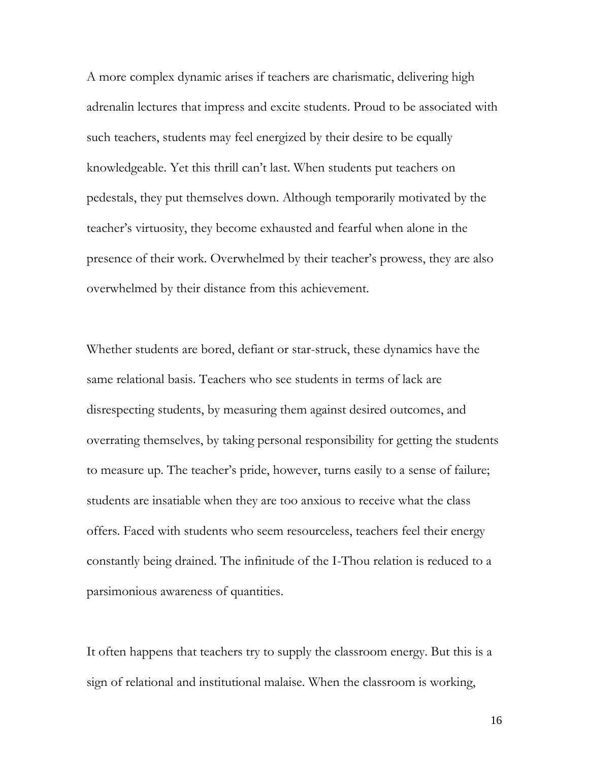A more complex dynamic arises if teachers are charismatic, delivering high adrenalin lectures that impress and excite students. Proud to be associated with such teachers, students may feel energized by their desire to be equally knowledgeable. Yet this thrill can't last. When students put teachers on pedestals, they put themselves down. Although temporarily motivated by the teacher's virtuosity, they become exhausted and fearful when alone in the presence of their work. Overwhelmed by their teacher's prowess, they are also overwhelmed by their distance from this achievement.

Whether students are bored, defiant or star-struck, these dynamics have the same relational basis. Teachers who see students in terms of lack are disrespecting students, by measuring them against desired outcomes, and overrating themselves, by taking personal responsibility for getting the students to measure up. The teacher's pride, however, turns easily to a sense of failure; students are insatiable when they are too anxious to receive what the class offers. Faced with students who seem resourceless, teachers feel their energy constantly being drained. The infinitude of the I-Thou relation is reduced to a parsimonious awareness of quantities.

It often happens that teachers try to supply the classroom energy. But this is a sign of relational and institutional malaise. When the classroom is working,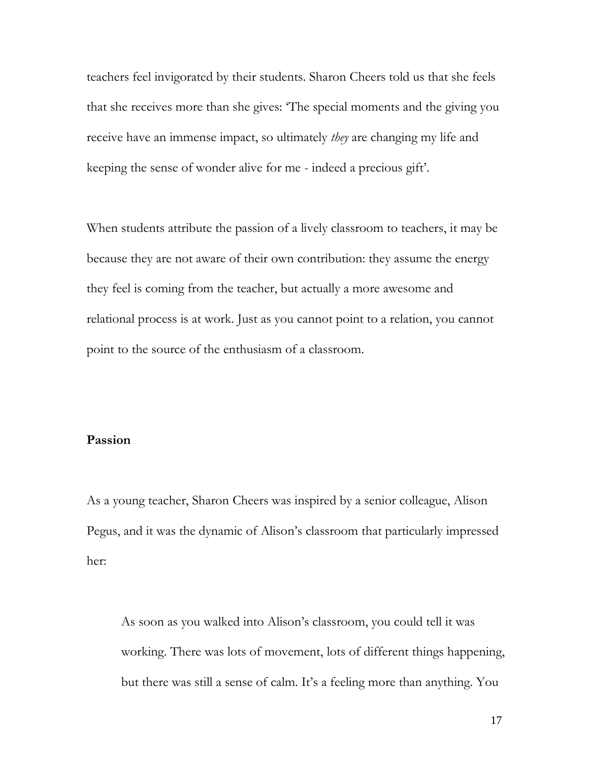teachers feel invigorated by their students. Sharon Cheers told us that she feels that she receives more than she gives: 'The special moments and the giving you receive have an immense impact, so ultimately *they* are changing my life and keeping the sense of wonder alive for me - indeed a precious gift'.

When students attribute the passion of a lively classroom to teachers, it may be because they are not aware of their own contribution: they assume the energy they feel is coming from the teacher, but actually a more awesome and relational process is at work. Just as you cannot point to a relation, you cannot point to the source of the enthusiasm of a classroom.

#### **Passion**

As a young teacher, Sharon Cheers was inspired by a senior colleague, Alison Pegus, and it was the dynamic of Alison's classroom that particularly impressed her:

As soon as you walked into Alison's classroom, you could tell it was working. There was lots of movement, lots of different things happening, but there was still a sense of calm. It's a feeling more than anything. You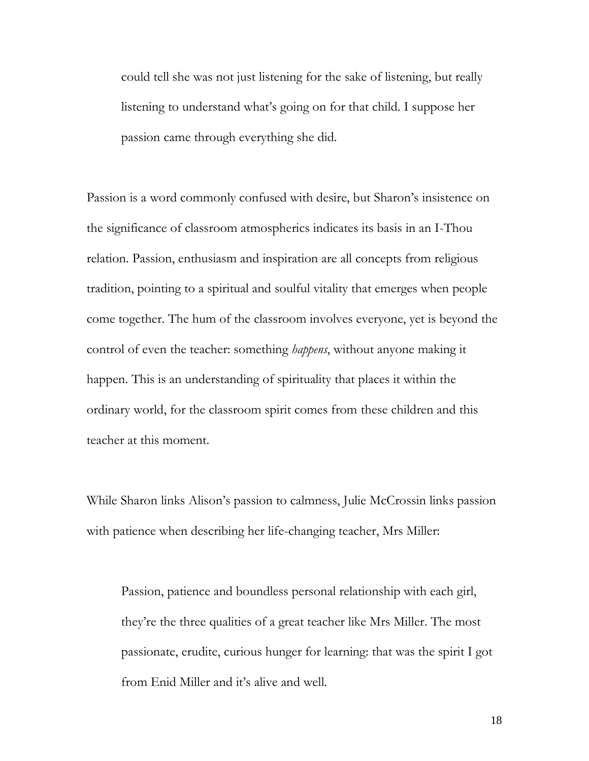could tell she was not just listening for the sake of listening, but really listening to understand what's going on for that child. I suppose her passion came through everything she did.

Passion is a word commonly confused with desire, but Sharon's insistence on the significance of classroom atmospherics indicates its basis in an I-Thou relation. Passion, enthusiasm and inspiration are all concepts from religious tradition, pointing to a spiritual and soulful vitality that emerges when people come together. The hum of the classroom involves everyone, yet is beyond the control of even the teacher: something *happens*, without anyone making it happen. This is an understanding of spirituality that places it within the ordinary world, for the classroom spirit comes from these children and this teacher at this moment.

While Sharon links Alison's passion to calmness, Julie McCrossin links passion with patience when describing her life-changing teacher, Mrs Miller:

Passion, patience and boundless personal relationship with each girl, they're the three qualities of a great teacher like Mrs Miller. The most passionate, erudite, curious hunger for learning: that was the spirit I got from Enid Miller and it's alive and well.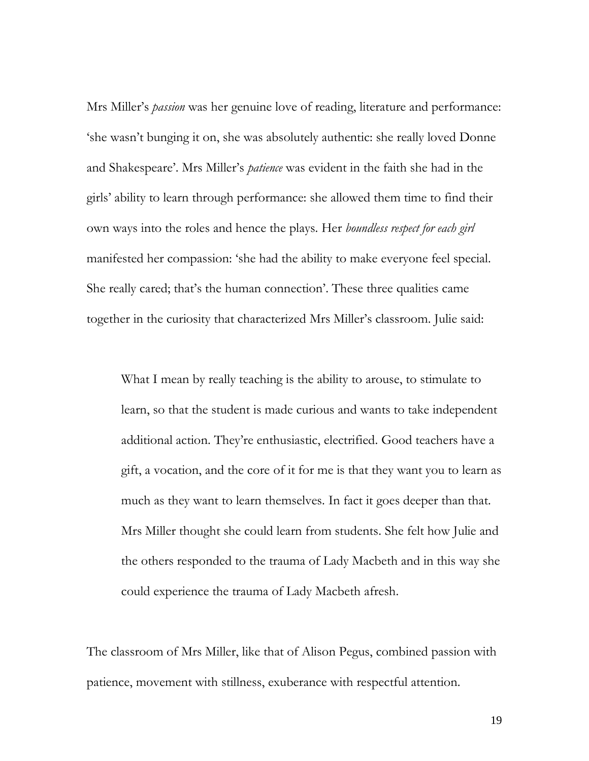Mrs Miller's *passion* was her genuine love of reading, literature and performance: 'she wasn't bunging it on, she was absolutely authentic: she really loved Donne and Shakespeare'. Mrs Miller's *patience* was evident in the faith she had in the girls' ability to learn through performance: she allowed them time to find their own ways into the roles and hence the plays. Her *boundless respect for each girl*  manifested her compassion: 'she had the ability to make everyone feel special. She really cared; that's the human connection'. These three qualities came together in the curiosity that characterized Mrs Miller's classroom. Julie said:

What I mean by really teaching is the ability to arouse, to stimulate to learn, so that the student is made curious and wants to take independent additional action. They're enthusiastic, electrified. Good teachers have a gift, a vocation, and the core of it for me is that they want you to learn as much as they want to learn themselves. In fact it goes deeper than that. Mrs Miller thought she could learn from students. She felt how Julie and the others responded to the trauma of Lady Macbeth and in this way she could experience the trauma of Lady Macbeth afresh.

The classroom of Mrs Miller, like that of Alison Pegus, combined passion with patience, movement with stillness, exuberance with respectful attention.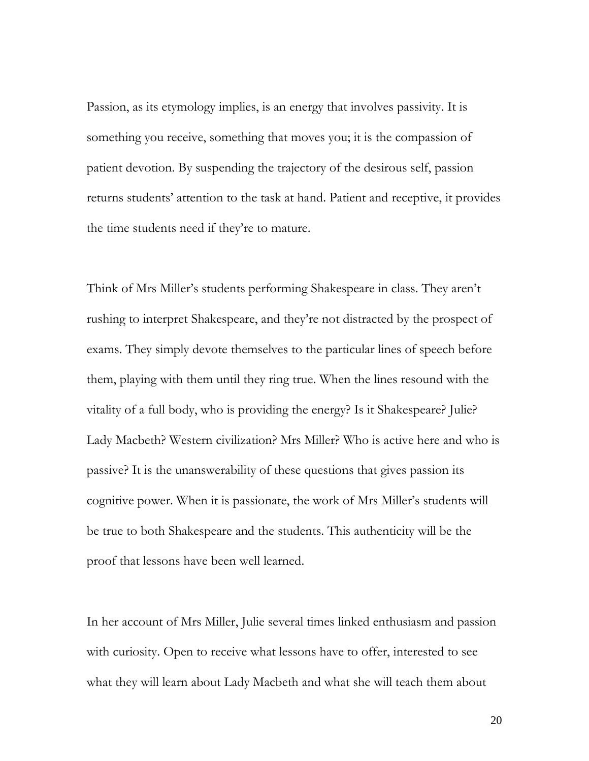Passion, as its etymology implies, is an energy that involves passivity. It is something you receive, something that moves you; it is the compassion of patient devotion. By suspending the trajectory of the desirous self, passion returns students' attention to the task at hand. Patient and receptive, it provides the time students need if they're to mature.

Think of Mrs Miller's students performing Shakespeare in class. They aren't rushing to interpret Shakespeare, and they're not distracted by the prospect of exams. They simply devote themselves to the particular lines of speech before them, playing with them until they ring true. When the lines resound with the vitality of a full body, who is providing the energy? Is it Shakespeare? Julie? Lady Macbeth? Western civilization? Mrs Miller? Who is active here and who is passive? It is the unanswerability of these questions that gives passion its cognitive power. When it is passionate, the work of Mrs Miller's students will be true to both Shakespeare and the students. This authenticity will be the proof that lessons have been well learned.

In her account of Mrs Miller, Julie several times linked enthusiasm and passion with curiosity. Open to receive what lessons have to offer, interested to see what they will learn about Lady Macbeth and what she will teach them about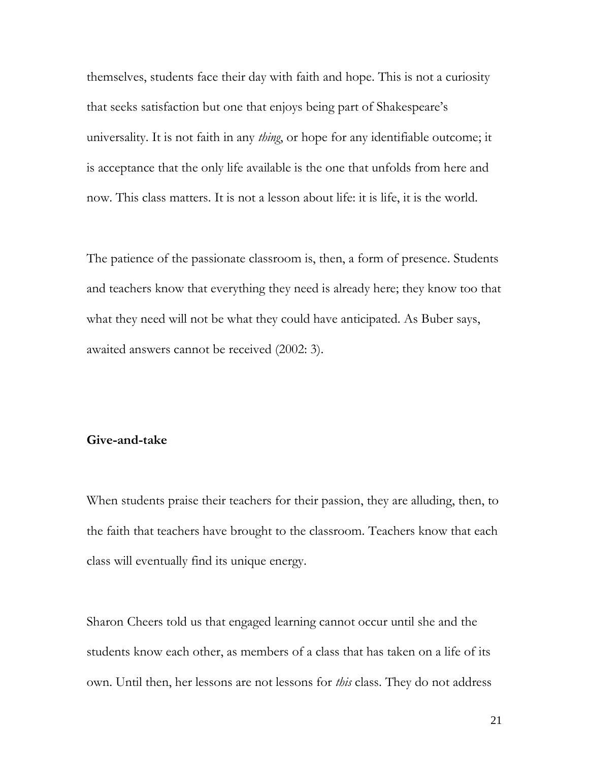themselves, students face their day with faith and hope. This is not a curiosity that seeks satisfaction but one that enjoys being part of Shakespeare's universality. It is not faith in any *thing*, or hope for any identifiable outcome; it is acceptance that the only life available is the one that unfolds from here and now. This class matters. It is not a lesson about life: it is life, it is the world.

The patience of the passionate classroom is, then, a form of presence. Students and teachers know that everything they need is already here; they know too that what they need will not be what they could have anticipated. As Buber says, awaited answers cannot be received (2002: 3).

#### **Give-and-take**

When students praise their teachers for their passion, they are alluding, then, to the faith that teachers have brought to the classroom. Teachers know that each class will eventually find its unique energy.

Sharon Cheers told us that engaged learning cannot occur until she and the students know each other, as members of a class that has taken on a life of its own. Until then, her lessons are not lessons for *this* class. They do not address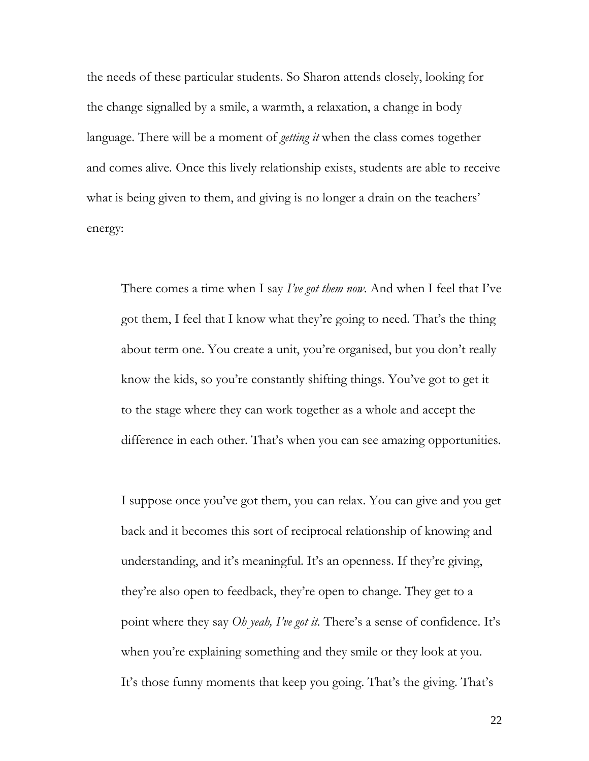the needs of these particular students. So Sharon attends closely, looking for the change signalled by a smile, a warmth, a relaxation, a change in body language. There will be a moment of *getting it* when the class comes together and comes alive*.* Once this lively relationship exists, students are able to receive what is being given to them, and giving is no longer a drain on the teachers' energy:

There comes a time when I say *I've got them now*. And when I feel that I've got them, I feel that I know what they're going to need. That's the thing about term one. You create a unit, you're organised, but you don't really know the kids, so you're constantly shifting things. You've got to get it to the stage where they can work together as a whole and accept the difference in each other. That's when you can see amazing opportunities.

I suppose once you've got them, you can relax. You can give and you get back and it becomes this sort of reciprocal relationship of knowing and understanding, and it's meaningful. It's an openness. If they're giving, they're also open to feedback, they're open to change. They get to a point where they say *Oh yeah, I've got it.* There's a sense of confidence. It's when you're explaining something and they smile or they look at you. It's those funny moments that keep you going. That's the giving. That's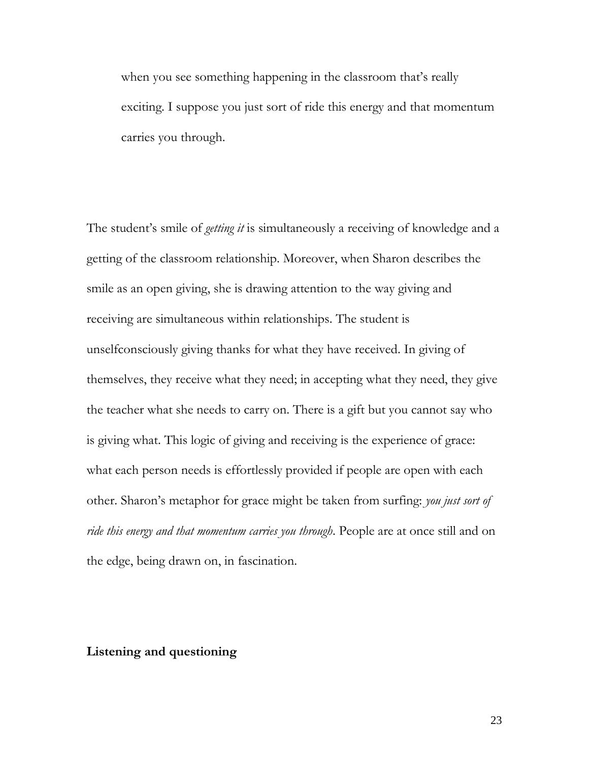when you see something happening in the classroom that's really exciting. I suppose you just sort of ride this energy and that momentum carries you through.

The student's smile of *getting it* is simultaneously a receiving of knowledge and a getting of the classroom relationship. Moreover, when Sharon describes the smile as an open giving, she is drawing attention to the way giving and receiving are simultaneous within relationships. The student is unselfconsciously giving thanks for what they have received. In giving of themselves, they receive what they need; in accepting what they need, they give the teacher what she needs to carry on. There is a gift but you cannot say who is giving what. This logic of giving and receiving is the experience of grace: what each person needs is effortlessly provided if people are open with each other. Sharon's metaphor for grace might be taken from surfing: *you just sort of ride this energy and that momentum carries you through*. People are at once still and on the edge, being drawn on, in fascination.

### **Listening and questioning**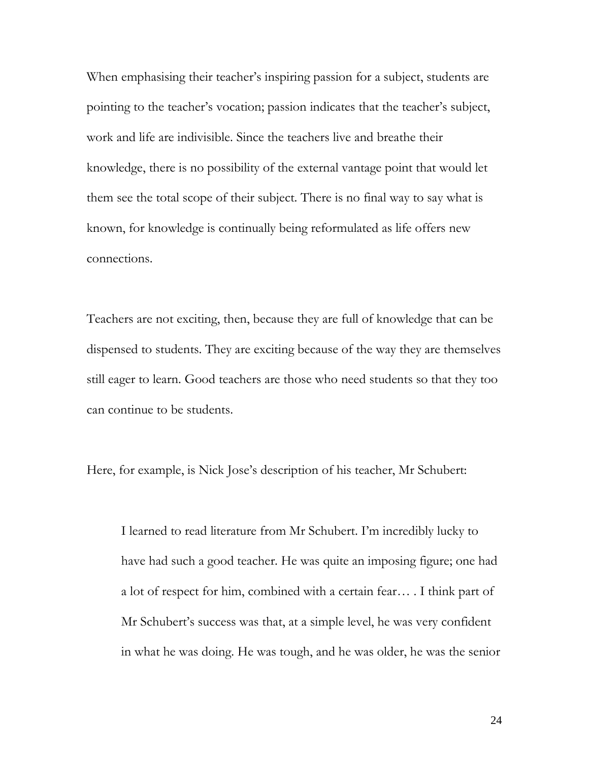When emphasising their teacher's inspiring passion for a subject, students are pointing to the teacher's vocation; passion indicates that the teacher's subject, work and life are indivisible. Since the teachers live and breathe their knowledge, there is no possibility of the external vantage point that would let them see the total scope of their subject. There is no final way to say what is known, for knowledge is continually being reformulated as life offers new connections.

Teachers are not exciting, then, because they are full of knowledge that can be dispensed to students. They are exciting because of the way they are themselves still eager to learn. Good teachers are those who need students so that they too can continue to be students.

Here, for example, is Nick Jose's description of his teacher, Mr Schubert:

I learned to read literature from Mr Schubert. I'm incredibly lucky to have had such a good teacher. He was quite an imposing figure; one had a lot of respect for him, combined with a certain fear… . I think part of Mr Schubert's success was that, at a simple level, he was very confident in what he was doing. He was tough, and he was older, he was the senior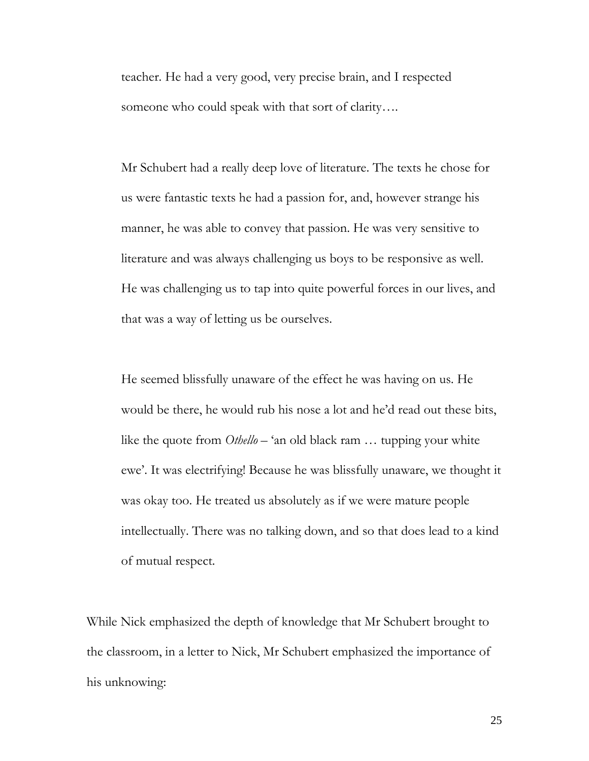teacher. He had a very good, very precise brain, and I respected someone who could speak with that sort of clarity….

Mr Schubert had a really deep love of literature. The texts he chose for us were fantastic texts he had a passion for, and, however strange his manner, he was able to convey that passion. He was very sensitive to literature and was always challenging us boys to be responsive as well. He was challenging us to tap into quite powerful forces in our lives, and that was a way of letting us be ourselves.

He seemed blissfully unaware of the effect he was having on us. He would be there, he would rub his nose a lot and he'd read out these bits, like the quote from *Othello* – 'an old black ram … tupping your white ewe'. It was electrifying! Because he was blissfully unaware, we thought it was okay too. He treated us absolutely as if we were mature people intellectually. There was no talking down, and so that does lead to a kind of mutual respect.

While Nick emphasized the depth of knowledge that Mr Schubert brought to the classroom, in a letter to Nick, Mr Schubert emphasized the importance of his unknowing: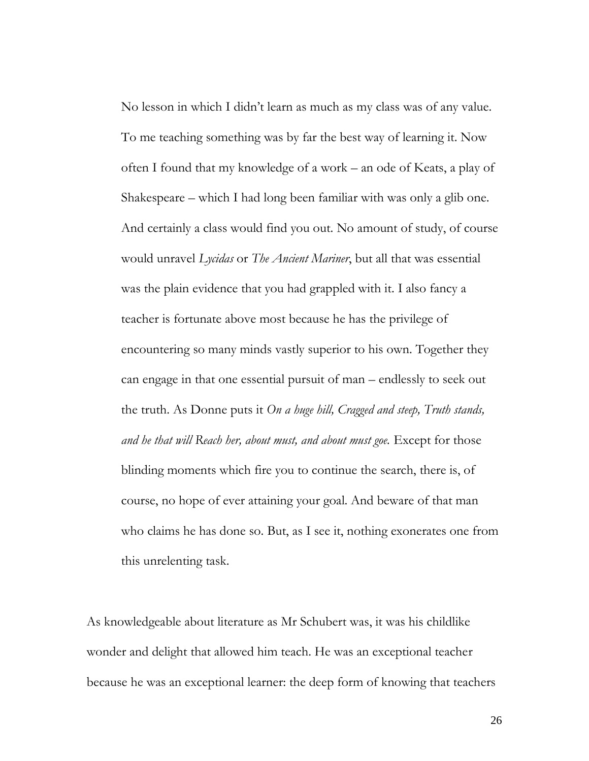No lesson in which I didn't learn as much as my class was of any value. To me teaching something was by far the best way of learning it. Now often I found that my knowledge of a work – an ode of Keats, a play of Shakespeare – which I had long been familiar with was only a glib one. And certainly a class would find you out. No amount of study, of course would unravel *Lycidas* or *The Ancient Mariner*, but all that was essential was the plain evidence that you had grappled with it. I also fancy a teacher is fortunate above most because he has the privilege of encountering so many minds vastly superior to his own. Together they can engage in that one essential pursuit of man – endlessly to seek out the truth. As Donne puts it *On a huge hill, Cragged and steep, Truth stands, and he that will Reach her, about must, and about must goe.* Except for those blinding moments which fire you to continue the search, there is, of course, no hope of ever attaining your goal. And beware of that man who claims he has done so. But, as I see it, nothing exonerates one from this unrelenting task.

As knowledgeable about literature as Mr Schubert was, it was his childlike wonder and delight that allowed him teach. He was an exceptional teacher because he was an exceptional learner: the deep form of knowing that teachers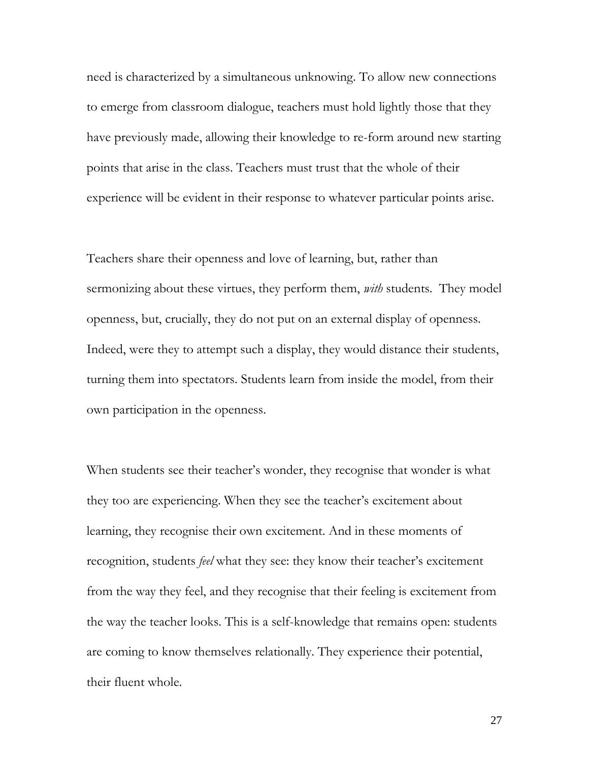need is characterized by a simultaneous unknowing. To allow new connections to emerge from classroom dialogue, teachers must hold lightly those that they have previously made, allowing their knowledge to re-form around new starting points that arise in the class. Teachers must trust that the whole of their experience will be evident in their response to whatever particular points arise.

Teachers share their openness and love of learning, but, rather than sermonizing about these virtues, they perform them, *with* students. They model openness, but, crucially, they do not put on an external display of openness. Indeed, were they to attempt such a display, they would distance their students, turning them into spectators. Students learn from inside the model, from their own participation in the openness.

When students see their teacher's wonder, they recognise that wonder is what they too are experiencing. When they see the teacher's excitement about learning, they recognise their own excitement. And in these moments of recognition, students *feel* what they see: they know their teacher's excitement from the way they feel, and they recognise that their feeling is excitement from the way the teacher looks. This is a self-knowledge that remains open: students are coming to know themselves relationally. They experience their potential, their fluent whole.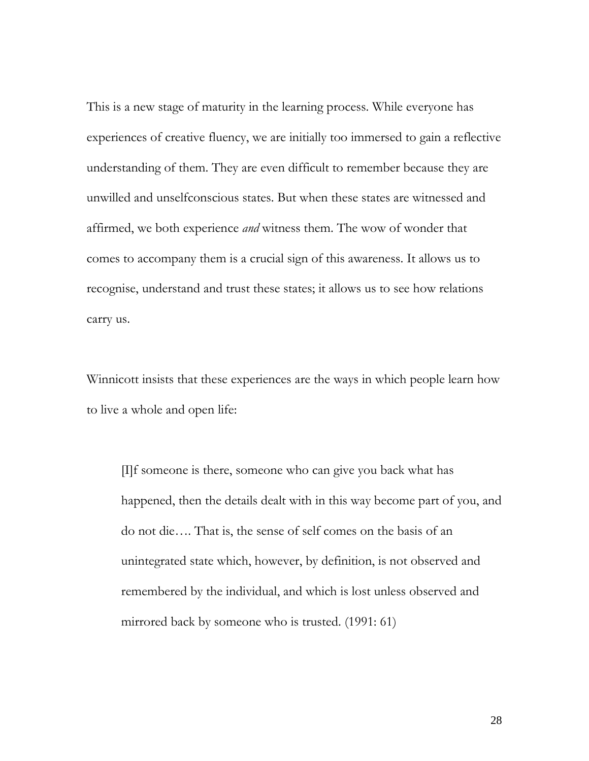This is a new stage of maturity in the learning process. While everyone has experiences of creative fluency, we are initially too immersed to gain a reflective understanding of them. They are even difficult to remember because they are unwilled and unselfconscious states. But when these states are witnessed and affirmed, we both experience *and* witness them. The wow of wonder that comes to accompany them is a crucial sign of this awareness. It allows us to recognise, understand and trust these states; it allows us to see how relations carry us.

Winnicott insists that these experiences are the ways in which people learn how to live a whole and open life:

[I]f someone is there, someone who can give you back what has happened, then the details dealt with in this way become part of you, and do not die…. That is, the sense of self comes on the basis of an unintegrated state which, however, by definition, is not observed and remembered by the individual, and which is lost unless observed and mirrored back by someone who is trusted. (1991: 61)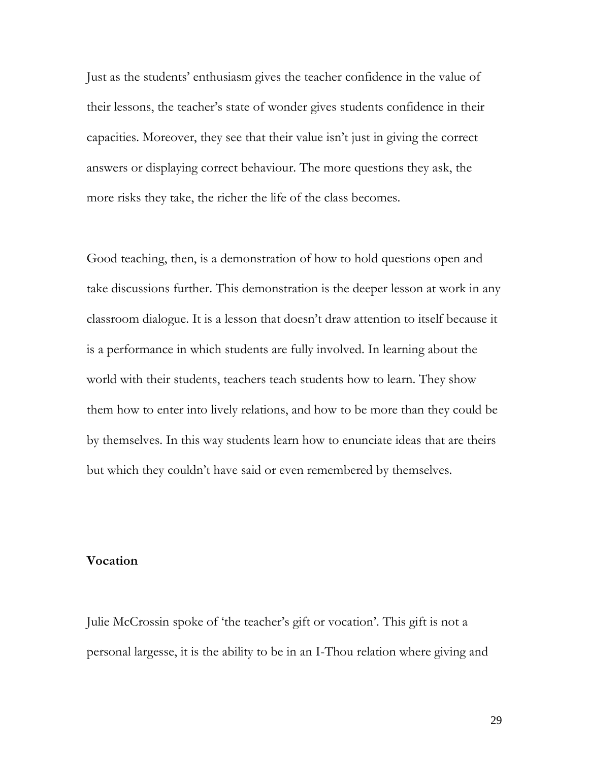Just as the students' enthusiasm gives the teacher confidence in the value of their lessons, the teacher's state of wonder gives students confidence in their capacities. Moreover, they see that their value isn't just in giving the correct answers or displaying correct behaviour. The more questions they ask, the more risks they take, the richer the life of the class becomes.

Good teaching, then, is a demonstration of how to hold questions open and take discussions further. This demonstration is the deeper lesson at work in any classroom dialogue. It is a lesson that doesn't draw attention to itself because it is a performance in which students are fully involved. In learning about the world with their students, teachers teach students how to learn. They show them how to enter into lively relations, and how to be more than they could be by themselves. In this way students learn how to enunciate ideas that are theirs but which they couldn't have said or even remembered by themselves.

#### **Vocation**

Julie McCrossin spoke of 'the teacher's gift or vocation'. This gift is not a personal largesse, it is the ability to be in an I-Thou relation where giving and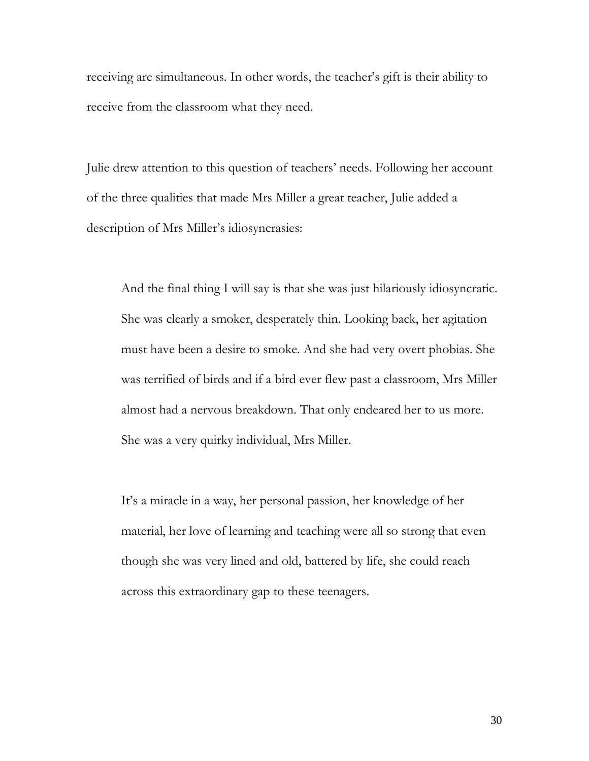receiving are simultaneous. In other words, the teacher's gift is their ability to receive from the classroom what they need.

Julie drew attention to this question of teachers' needs. Following her account of the three qualities that made Mrs Miller a great teacher, Julie added a description of Mrs Miller's idiosyncrasies:

And the final thing I will say is that she was just hilariously idiosyncratic. She was clearly a smoker, desperately thin. Looking back, her agitation must have been a desire to smoke. And she had very overt phobias. She was terrified of birds and if a bird ever flew past a classroom, Mrs Miller almost had a nervous breakdown. That only endeared her to us more. She was a very quirky individual, Mrs Miller.

It's a miracle in a way, her personal passion, her knowledge of her material, her love of learning and teaching were all so strong that even though she was very lined and old, battered by life, she could reach across this extraordinary gap to these teenagers.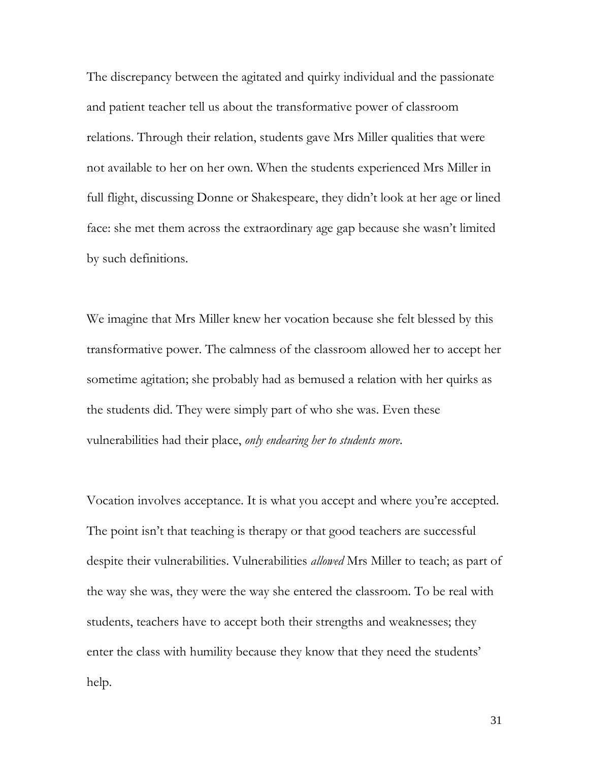The discrepancy between the agitated and quirky individual and the passionate and patient teacher tell us about the transformative power of classroom relations. Through their relation, students gave Mrs Miller qualities that were not available to her on her own. When the students experienced Mrs Miller in full flight, discussing Donne or Shakespeare, they didn't look at her age or lined face: she met them across the extraordinary age gap because she wasn't limited by such definitions.

We imagine that Mrs Miller knew her vocation because she felt blessed by this transformative power. The calmness of the classroom allowed her to accept her sometime agitation; she probably had as bemused a relation with her quirks as the students did. They were simply part of who she was. Even these vulnerabilities had their place, *only endearing her to students more*.

Vocation involves acceptance. It is what you accept and where you're accepted. The point isn't that teaching is therapy or that good teachers are successful despite their vulnerabilities. Vulnerabilities *allowed* Mrs Miller to teach; as part of the way she was, they were the way she entered the classroom. To be real with students, teachers have to accept both their strengths and weaknesses; they enter the class with humility because they know that they need the students' help.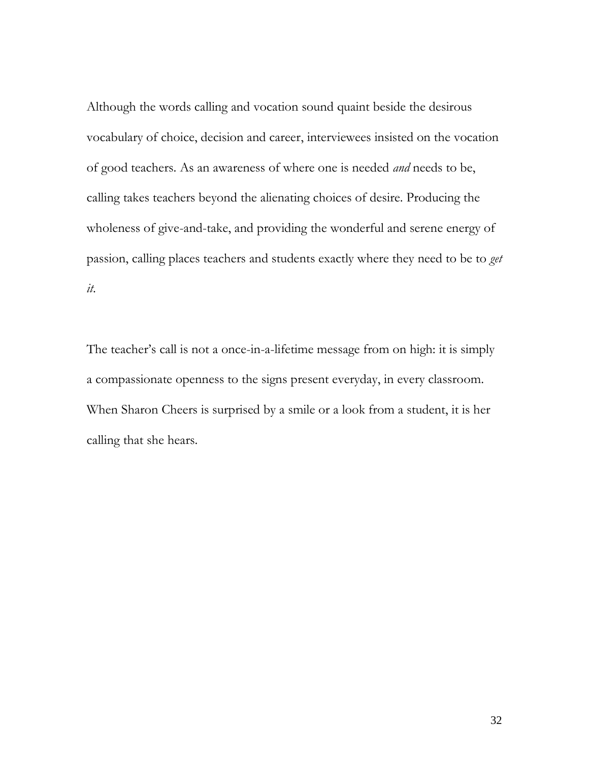Although the words calling and vocation sound quaint beside the desirous vocabulary of choice, decision and career, interviewees insisted on the vocation of good teachers. As an awareness of where one is needed *and* needs to be, calling takes teachers beyond the alienating choices of desire. Producing the wholeness of give-and-take, and providing the wonderful and serene energy of passion, calling places teachers and students exactly where they need to be to *get it*.

The teacher's call is not a once-in-a-lifetime message from on high: it is simply a compassionate openness to the signs present everyday, in every classroom. When Sharon Cheers is surprised by a smile or a look from a student, it is her calling that she hears.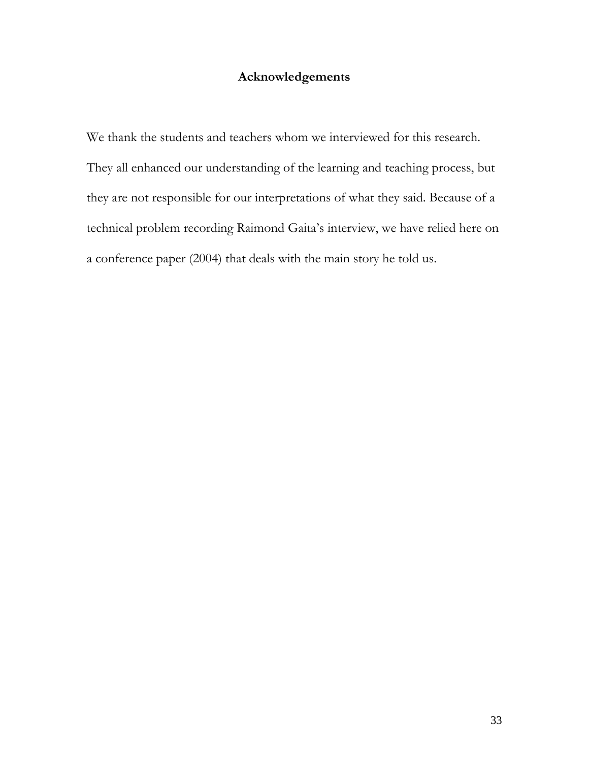# **Acknowledgements**

We thank the students and teachers whom we interviewed for this research. They all enhanced our understanding of the learning and teaching process, but they are not responsible for our interpretations of what they said. Because of a technical problem recording Raimond Gaita's interview, we have relied here on a conference paper (2004) that deals with the main story he told us.